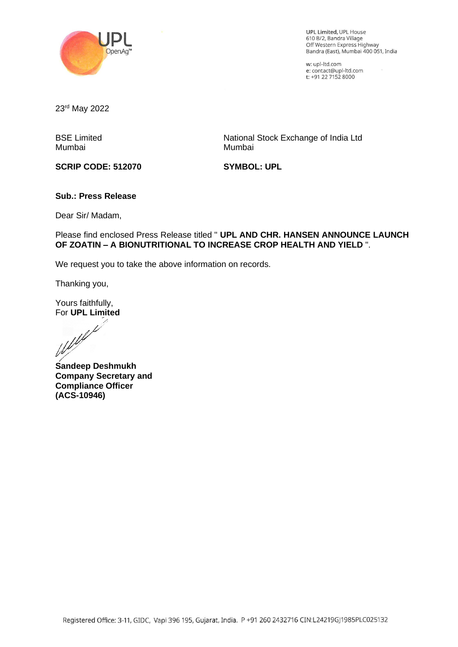

UPL Limited, UPL House 610 8/2, Sandra Village Off Western Express Highway Bandra (East), Mumbai 400 051, India

w: upl-ltd.com e: contact@upl-ltd.com t: +91 22 7152 8000

23rd May 2022

BSE Limited Mumbai

National Stock Exchange of India Ltd Mumbai

**SCRIP CODE: 512070**

**SYMBOL: UPL**

#### **Sub.: Press Release**

Dear Sir/ Madam,

Please find enclosed Press Release titled " **UPL AND CHR. HANSEN ANNOUNCE LAUNCH OF ZOATIN – A BIONUTRITIONAL TO INCREASE CROP HEALTH AND YIELD** ".

We request you to take the above information on records.

Thanking you,

Yours faithfully,

For **UPL Limited**<br>Weblet

**Sandeep Deshmukh Company Secretary and Compliance Officer (ACS-10946)**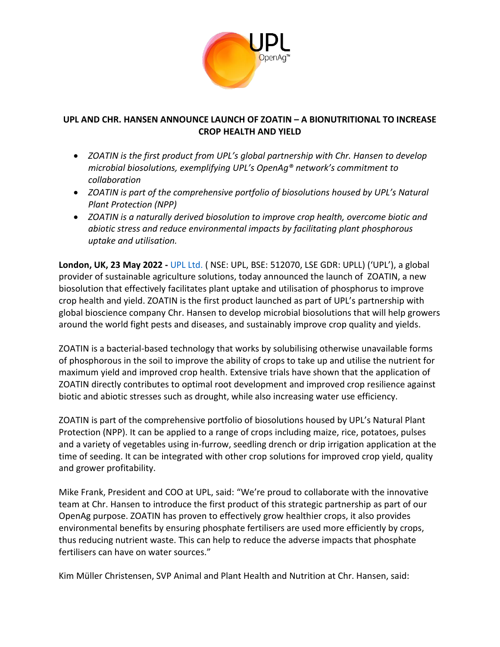

# **UPL AND CHR. HANSEN ANNOUNCE LAUNCH OF ZOATIN – A BIONUTRITIONAL TO INCREASE CROP HEALTH AND YIELD**

- *ZOATIN is the first product from UPL's global partnership with Chr. Hansen to develop microbial biosolutions, exemplifying UPL's OpenAg® network's commitment to collaboration*
- *ZOATIN is part of the comprehensive portfolio of biosolutions housed by UPL's Natural Plant Protection (NPP)*
- *ZOATIN is a naturally derived biosolution to improve crop health, overcome biotic and abiotic stress and reduce environmental impacts by facilitating plant phosphorous uptake and utilisation.*

**London, UK, 23 May 2022 -** [UPL Ltd.](http://upl-ltd.com/) ( NSE: UPL, BSE: 512070, LSE GDR: UPLL) ('UPL'), a global provider of sustainable agriculture solutions, today announced the launch of ZOATIN, a new biosolution that effectively facilitates plant uptake and utilisation of phosphorus to improve crop health and yield. ZOATIN is the first product launched as part of UPL's partnership with global bioscience company Chr. Hansen to develop microbial biosolutions that will help growers around the world fight pests and diseases, and sustainably improve crop quality and yields.

ZOATIN is a bacterial-based technology that works by solubilising otherwise unavailable forms of phosphorous in the soil to improve the ability of crops to take up and utilise the nutrient for maximum yield and improved crop health. Extensive trials have shown that the application of ZOATIN directly contributes to optimal root development and improved crop resilience against biotic and abiotic stresses such as drought, while also increasing water use efficiency.

ZOATIN is part of the comprehensive portfolio of biosolutions housed by UPL's Natural Plant Protection (NPP). It can be applied to a range of crops including maize, rice, potatoes, pulses and a variety of vegetables using in-furrow, seedling drench or drip irrigation application at the time of seeding. It can be integrated with other crop solutions for improved crop yield, quality and grower profitability.

Mike Frank, President and COO at UPL, said: "We're proud to collaborate with the innovative team at Chr. Hansen to introduce the first product of this strategic partnership as part of our OpenAg purpose. ZOATIN has proven to effectively grow healthier crops, it also provides environmental benefits by ensuring phosphate fertilisers are used more efficiently by crops, thus reducing nutrient waste. This can help to reduce the adverse impacts that phosphate fertilisers can have on water sources."

Kim Müller Christensen, SVP Animal and Plant Health and Nutrition at Chr. Hansen, said: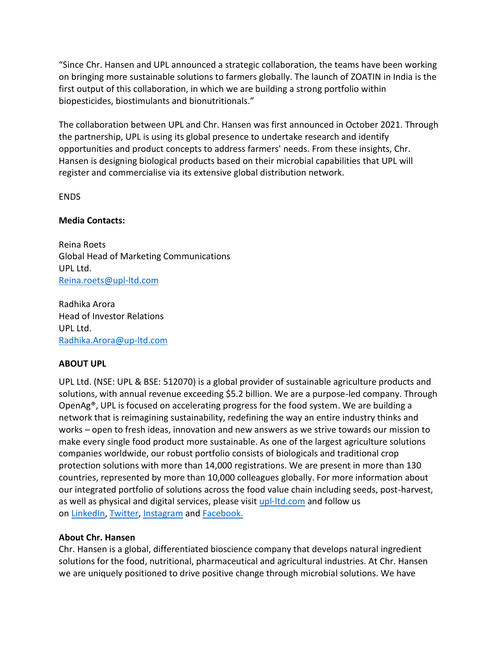"Since Chr. Hansen and UPL announced a strategic collaboration, the teams have been working on bringing more sustainable solutions to farmers globally. The launch of ZOATIN in India is the first output of this collaboration, in which we are building a strong portfolio within biopesticides, biostimulants and bionutritionals."

The collaboration between UPL and Chr. Hansen was first announced in October 2021. Through the partnership, UPL is using its global presence to undertake research and identify opportunities and product concepts to address farmers' needs. From these insights, Chr. Hansen is designing biological products based on their microbial capabilities that UPL will register and commercialise via its extensive global distribution network.

ENDS

### **Media Contacts:**

Reina Roets Global Head of Marketing Communications UPL Ltd. [Reina.roets@upl-ltd.com](mailto:Reina.roets@upl-ltd.com)

Radhika Arora Head of Investor Relations UPL Ltd. [Radhika.Arora@up-ltd.com](mailto:Radhika.Arora@up-ltd.com)

### **ABOUT UPL**

UPL Ltd. (NSE: UPL & BSE: 512070) is a global provider of sustainable agriculture products and solutions, with annual revenue exceeding \$5.2 billion. We are a purpose-led company. Through OpenAg®, UPL is focused on accelerating progress for the food system. We are building a network that is reimagining sustainability, redefining the way an entire industry thinks and works – open to fresh ideas, innovation and new answers as we strive towards our mission to make every single food product more sustainable. As one of the largest agriculture solutions companies worldwide, our robust portfolio consists of biologicals and traditional crop protection solutions with more than 14,000 registrations. We are present in more than 130 countries, represented by more than 10,000 colleagues globally. For more information about our integrated portfolio of solutions across the food value chain including seeds, post-harvest, as well as physical and digital services, please visit [upl-ltd.com](https://www.upl-ltd.com/) and follow us on [LinkedIn,](https://www.linkedin.com/company/upl-ltd/) [Twitter,](https://twitter.com/uplltd) [Instagram](https://www.instagram.com/upl_global/) and [Facebook.](https://www.facebook.com/UPLGlobal/)

## **About Chr. Hansen**

Chr. Hansen is a global, differentiated bioscience company that develops natural ingredient solutions for the food, nutritional, pharmaceutical and agricultural industries. At Chr. Hansen we are uniquely positioned to drive positive change through microbial solutions. We have